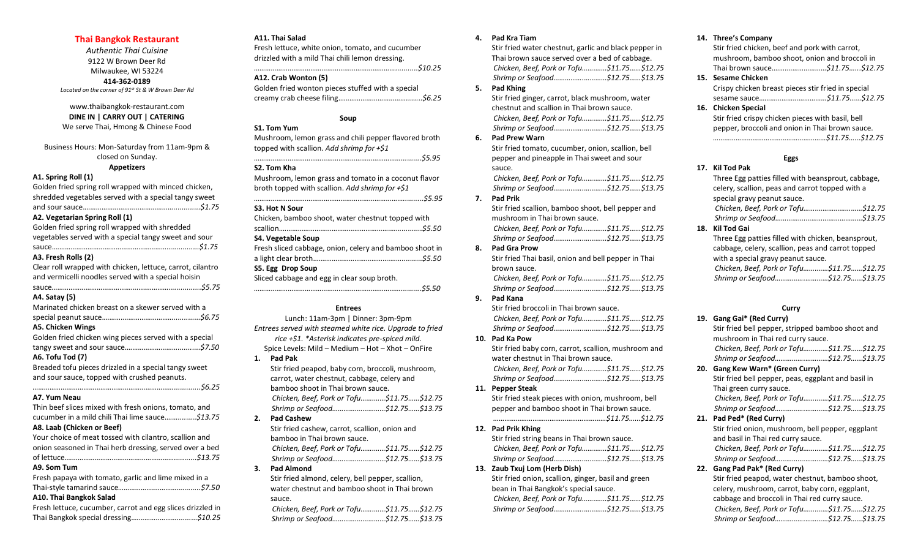# **Thai Bangkok Restaurant**

*Authentic Thai Cuisine* 9122 W Brown Deer Rd Milwaukee, WI 53224 **414-362-0189** *Located on the corner of 91st St & W Brown Deer Rd*

# www.thaibangkok-restaurant.com **DINE IN | CARRY OUT | CATERING** We serve Thai, Hmong & Chinese Food

Business Hours: Mon-Saturday from 11am-9pm & closed on Sunday.

# **Appetizers**

**A1. Spring Roll (1)**

Golden fried spring roll wrapped with minced chicken, shredded vegetables served with a special tangy sweet and sour sauce.*……………………..………………….............\$1.75* **A2. Vegetarian Spring Roll (1)** Golden fried spring roll wrapped with shredded vegetables served with a special tangy sweet and sour sauce.*……………………………………………………….............\$1.75* **A3. Fresh Rolls (2)** Clear roll wrapped with chicken, lettuce, carrot, cilantro and vermicelli noodles served with a special hoisin sauce*……………………………………….….…………….............\$5.75* **A4. Satay (5)** Marinated chicken breast on a skewer served with a special peanut sauce.*……….……………………….............\$6.75* **A5. Chicken Wings** Golden fried chicken wing pieces served with a special tangy sweet and sour sauce.*………………………...........\$7.50* **A6. Tofu Tod (7)** Breaded tofu pieces drizzled in a special tangy sweet and sour sauce, topped with crushed peanuts. *………………………………………………………………….............\$6.25* **A7. Yum Neau** Thin beef slices mixed with fresh onions, tomato, and cucumber in a mild chili Thai lime sauce.*…….........\$13.75* **A8. Laab (Chicken or Beef)** Your choice of meat tossed with cilantro, scallion and onion seasoned in Thai herb dressing, served over a bed of lettuce.*…………………………………………………...........\$13.75* **A9. Som Tum** Fresh papaya with tomato, garlic and lime mixed in a Thai-style tamarind sauce*……………….…………….........\$7.50* **A10. Thai Bangkok Salad** Fresh lettuce, cucumber, carrot and egg slices drizzled in Thai Bangkok special dressing.*…………..………..........\$10.25*

# **A11. Thai Salad**

Fresh lettuce, white onion, tomato, and cucumber drizzled with a mild Thai chili lemon dressing. *…………………………………………………………………...........\$10.25*

## **A12. Crab Wonton (5)**

Golden fried wonton pieces stuffed with a special creamy crab cheese filing…*……………………………........\$6.25*

# **Soup**

# **S1. Tom Yum**

Mushroom, lemon grass and chili pepper flavored broth topped with scallion. *Add shrimp for +\$1 ……………………………………………………………………..........\$5.95*

# **S2. Tom Kha**

Mushroom, lemon grass and tomato in a coconut flavor broth topped with scallion. *Add shrimp for +\$1*

# *……………………….……………………………………………..........\$5.95*

**S3. Hot N Sour** Chicken, bamboo shoot, water chestnut topped with

| Chicken, bamboo shoot, water chesthut topped with       |
|---------------------------------------------------------|
|                                                         |
| S4. Vegetable Soup                                      |
| Fresh sliced cabbage, onion, celery and bamboo shoot in |
|                                                         |
| S5. Egg Drop Soup                                       |

Sliced cabbage and egg in clear soup broth. *……………………………………………………………………..........\$5.50*

#### **Entrees**

Lunch: 11am-3pm | Dinner: 3pm-9pm *Entrees served with steamed white rice. Upgrade to fried rice +\$1. \*Asterisk indicates pre-spiced mild.*

Spice Levels: Mild – Medium – Hot – Xhot – OnFire **1. Pad Pak** Stir fried peapod, baby corn, broccoli, mushroom,

carrot, water chestnut, cabbage, celery and bamboo shoot in Thai brown sauce. *Chicken, Beef, Pork or Tofu…….……\$11.75……\$12.75 Shrimp or Seafood…………….…………\$12.75……\$13.75* **2. Pad Cashew**

- Stir fried cashew, carrot, scallion, onion and bamboo in Thai brown sauce. *Chicken, Beef, Pork or Tofu…….……\$11.75……\$12.75 Shrimp or Seafood…………….…………\$12.75……\$13.75*
- **3. Pad Almond**

Stir fried almond, celery, bell pepper, scallion, water chestnut and bamboo shoot in Thai brown sauce.

*Chicken, Beef, Pork or Tofu…….……\$11.75……\$12.75 Shrimp or Seafood…………….…………\$12.75……\$13.75*

# **4. Pad Kra Tiam**

Stir fried water chestnut, garlic and black pepper in Thai brown sauce served over a bed of cabbage. *Chicken, Beef, Pork or Tofu…….……\$11.75……\$12.75 Shrimp or Seafood…………….…………\$12.75……\$13.75*

# **5. Pad Khing**

Stir fried ginger, carrot, black mushroom, water chestnut and scallion in Thai brown sauce. *Chicken, Beef, Pork or Tofu…….……\$11.75……\$12.75 Shrimp or Seafood…………….…………\$12.75……\$13.75*

# **6. Pad Prew Warn** Stir fried tomato, cucumber, onion, scallion, bell pepper and pineapple in Thai sweet and sour sauce.

*Chicken, Beef, Pork or Tofu…….……\$11.75……\$12.75 Shrimp or Seafood…………….…………\$12.75……\$13.75*

**7. Pad Prik**

Stir fried scallion, bamboo shoot, bell pepper and mushroom in Thai brown sauce. *Chicken, Beef, Pork or Tofu…….……\$11.75……\$12.75 Shrimp or Seafood…………….…………\$12.75……\$13.75*

# **8. Pad Gra Prow**

Stir fried Thai basil, onion and bell pepper in Thai brown sauce. *Chicken, Beef, Pork or Tofu…….……\$11.75……\$12.75 Shrimp or Seafood…………….…………\$12.75……\$13.75*

**9. Pad Kana**

Stir fried broccoli in Thai brown sauce. *Chicken, Beef, Pork or Tofu…….……\$11.75……\$12.75 Shrimp or Seafood…………….…………\$12.75……\$13.75*

# **10. Pad Ka Pow**

Stir fried baby corn, carrot, scallion, mushroom and water chestnut in Thai brown sauce. *Chicken, Beef, Pork or Tofu…….……\$11.75……\$12.75 Shrimp or Seafood…………….…………\$12.75……\$13.75*

**11. Pepper Steak**

Stir fried steak pieces with onion, mushroom, bell pepper and bamboo shoot in Thai brown sauce. *……………………………………………………\$11.75…...\$12.75*

# **12. Pad Prik Khing**

Stir fried string beans in Thai brown sauce. *Chicken, Beef, Pork or Tofu…….……\$11.75……\$12.75 Shrimp or Seafood…………….…………\$12.75……\$13.75*

# **13. Zaub Txuj Lom (Herb Dish)**

Stir fried onion, scallion, ginger, basil and green bean in Thai Bangkok's special sauce. *Chicken, Beef, Pork or Tofu…….……\$11.75……\$12.75 Shrimp or Seafood…………….…………\$12.75……\$13.75*

# **14. Three's Company**

Stir fried chicken, beef and pork with carrot, mushroom, bamboo shoot, onion and broccoli in Thai brown sauce.*…….…………………\$11.75…...\$12.75* **15. Sesame Chicken**

Crispy chicken breast pieces stir fried in special sesame sauce…*……………………………\$11.75…...\$12.75*

# **16. Chicken Special** Stir fried crispy chicken pieces with basil, bell pepper, broccoli and onion in Thai brown sauce. *……………………………………………………\$11.75…...\$12.75*

# **Eggs**

# **17. Kil Tod Pak** Three Egg patties filled with beansprout, cabbage, celery, scallion, peas and carrot topped with a special gravy peanut sauce. *Chicken, Beef, Pork or Tofu…….……………………\$12.75 Shrimp or Seafood…………….…………………………\$13.75* **18. Kil Tod Gai** Three Egg patties filled with chicken, beansprout, cabbage, celery, scallion, peas and carrot topped with a special gravy peanut sauce.

*Chicken, Beef, Pork or Tofu…….……\$11.75……\$12.75 Shrimp or Seafood…………….…………\$12.75……\$13.75*

# **Curry**

# **19. Gang Gai\* (Red Curry)**

Stir fried bell pepper, stripped bamboo shoot and mushroom in Thai red curry sauce. *Chicken, Beef, Pork or Tofu…….……\$11.75……\$12.75 Shrimp or Seafood…………….…………\$12.75……\$13.75*

# **20. Gang Kew Warn\* (Green Curry)** Stir fried bell pepper, peas, eggplant and basil in

Thai green curry sauce. *Chicken, Beef, Pork or Tofu…….……\$11.75……\$12.75 Shrimp or Seafood…………….…………\$12.75……\$13.75*

# **21. Pad Ped\* (Red Curry)**

Stir fried onion, mushroom, bell pepper, eggplant and basil in Thai red curry sauce. *Chicken, Beef, Pork or Tofu…….……\$11.75……\$12.75 Shrimp or Seafood…………….…………\$12.75……\$13.75*

# **22. Gang Pad Pak\* (Red Curry)**

Stir fried peapod, water chestnut, bamboo shoot, celery, mushroom, carrot, baby corn, eggplant, cabbage and broccoli in Thai red curry sauce. *Chicken, Beef, Pork or Tofu…….……\$11.75……\$12.75 Shrimp or Seafood…………….…………\$12.75……\$13.75*